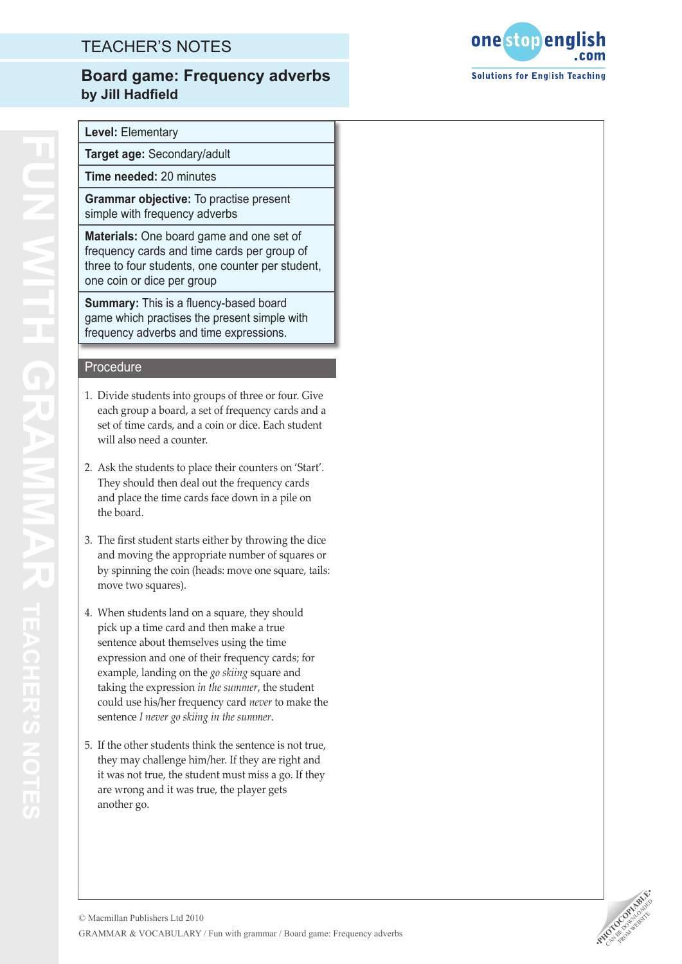## TEACHER'S NOTES

#### **Board game: Frequency adverbs by Jill Hadfield**



**Level:** Elementary

**Target age:** Secondary/adult

**Time needed:** 20 minutes

**Grammar objective:** To practise present simple with frequency adverbs

**Materials:** One board game and one set of frequency cards and time cards per group of three to four students, one counter per student, one coin or dice per group

**Summary:** This is a fluency-based board game which practises the present simple with frequency adverbs and time expressions.

#### Procedure

- 1. Divide students into groups of three or four. Give each group a board, a set of frequency cards and a set of time cards, and a coin or dice. Each student will also need a counter.
- 2. Ask the students to place their counters on 'Start'. They should then deal out the frequency cards and place the time cards face down in a pile on the board.
- 3. The first student starts either by throwing the dice and moving the appropriate number of squares or by spinning the coin (heads: move one square, tails: move two squares).
- 4. When students land on a square, they should pick up a time card and then make a true sentence about themselves using the time expression and one of their frequency cards; for example, landing on the *go skiing* square and taking the expression *in the summer*, the student could use his/her frequency card *never* to make the sentence *I never go skiing in the summer* .
- 5. If the other students think the sentence is not true, they may challenge him/her. If they are right and it was not true, the student must miss a go. If they are wrong and it was true, the player gets another go.

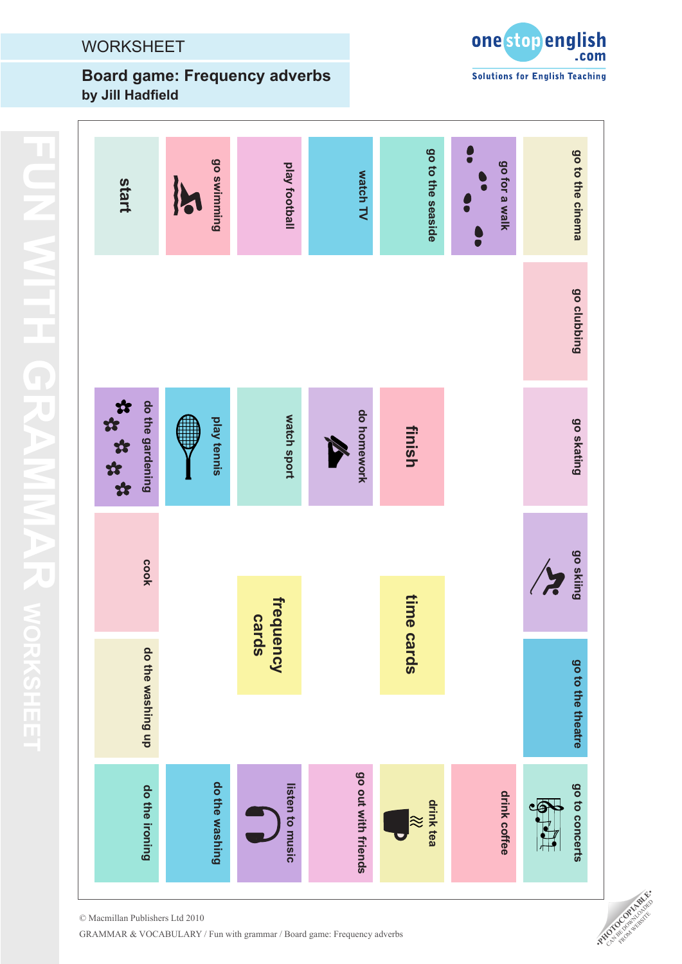# **WORKSHEET**

## **Board game: Frequency adverbs by Jill Hadfield**



| start                     | go swimming<br>16 | play football      | watch TV            | go to the seaside      | $\bullet$<br>go for a walk<br>ă | go to the cinema            |
|---------------------------|-------------------|--------------------|---------------------|------------------------|---------------------------------|-----------------------------|
|                           |                   |                    |                     |                        |                                 | go clubbing                 |
| *****<br>do the gardening | play tennis       | watch sport        | do homework<br>R    | finish                 |                                 | go skating                  |
| cook                      |                   |                    |                     |                        |                                 | go skiing<br>$\overline{z}$ |
|                           |                   | frequency<br>cards |                     | time                   |                                 |                             |
| do the washing up         |                   |                    |                     | <b>cards</b>           |                                 |                             |
|                           |                   |                    |                     |                        |                                 | go to the theatre           |
| do the ironing            | do the washing    | listen to music    | go out with friends | drink tea<br>$\approx$ | drink coffee                    | go to concerts              |

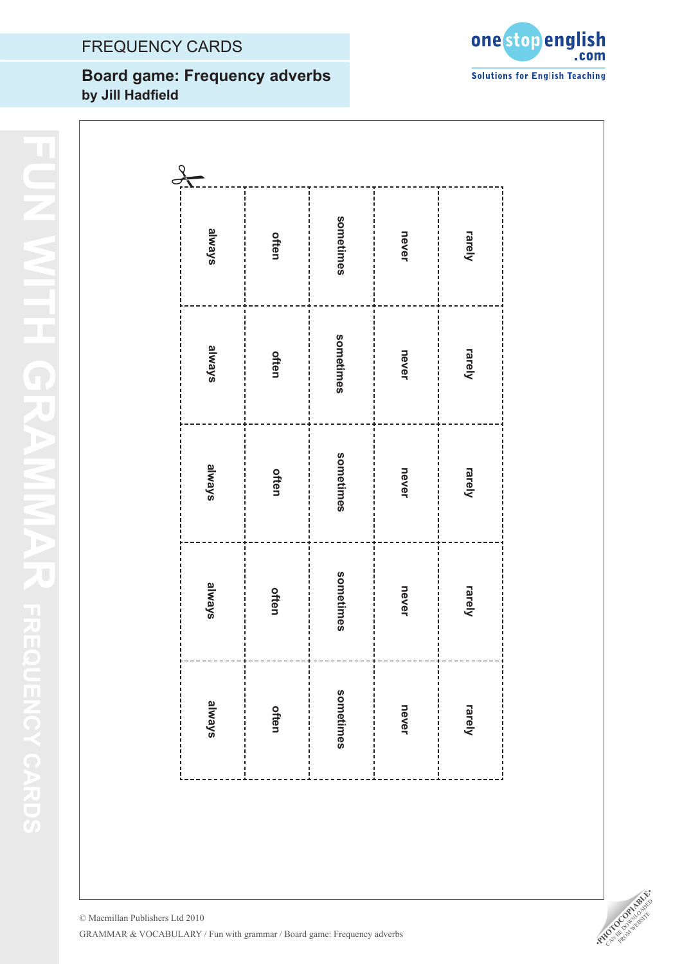# FREQUENCY CARDS

## **Title Board game: Frequency adverbs Author by Jill Hadfield**



| $\frac{1}{2}$ |       |           |       |                                           |
|---------------|-------|-----------|-------|-------------------------------------------|
| skewle        | often | sometimes | never | rarely                                    |
| skewle        | often | sometimes | never | rarely                                    |
| skewle        | often | sometimes | never | rarely                                    |
| skewle        | offen | sometimes | never | rarely                                    |
| s/ewgs        | often | sometimes | never | :<br>:<br>:<br>rarely<br>i<br>í<br>ı<br>í |